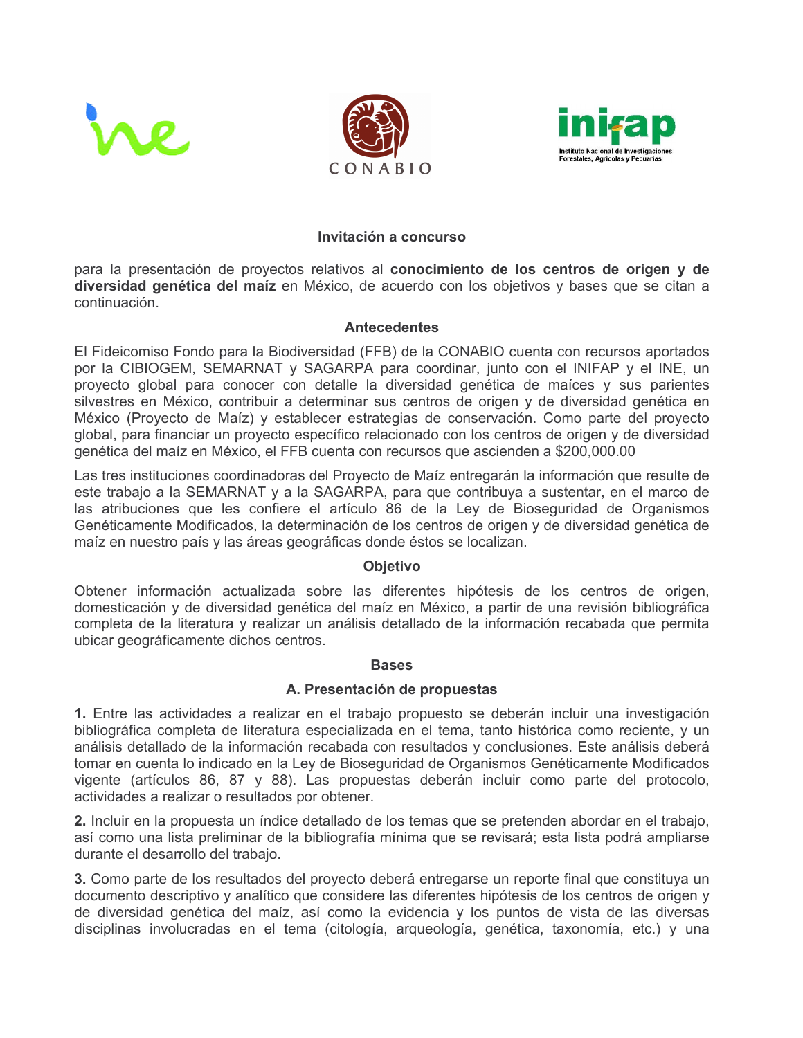





#### Invitación a concurso

para la presentación de proyectos relativos al conocimiento de los centros de origen y de diversidad genética del maíz en México, de acuerdo con los objetivos y bases que se citan a continuación.

#### **Antecedentes**

El Fideicomiso Fondo para la Biodiversidad (FFB) de la CONABIO cuenta con recursos aportados por la CIBIOGEM, SEMARNAT y SAGARPA para coordinar, junto con el INIFAP y el INE, un proyecto global para conocer con detalle la diversidad genética de maíces y sus parientes silvestres en México, contribuir a determinar sus centros de origen y de diversidad genética en México (Proyecto de Maíz) y establecer estrategias de conservación. Como parte del proyecto global, para financiar un provecto específico relacionado con los centros de origen y de diversidad genética del maíz en México, el FFB cuenta con recursos que ascienden a \$200,000.00

Las tres instituciones coordinadoras del Proyecto de Maíz entregarán la información que resulte de este trabajo a la SEMARNAT y a la SAGARPA, para que contribuya a sustentar, en el marco de las atribuciones que les confiere el artículo 86 de la Ley de Bioseguridad de Organismos Genéticamente Modificados, la determinación de los centros de origen y de diversidad genética de maíz en nuestro país y las áreas geográficas donde éstos se localizan.

## **Objetivo**

Obtener información actualizada sobre las diferentes hipótesis de los centros de origen, domesticación y de diversidad genética del maíz en México, a partir de una revisión bibliográfica completa de la literatura y realizar un análisis detallado de la información recabada que permita ubicar geográficamente dichos centros.

#### **Bases**

## A. Presentación de propuestas

1. Entre las actividades a realizar en el trabajo propuesto se deberán incluir una investigación bibliográfica completa de literatura especializada en el tema, tanto histórica como reciente, y un análisis detallado de la información recabada con resultados y conclusiones. Este análisis deberá tomar en cuenta lo indicado en la Ley de Bioseguridad de Organismos Genéticamente Modificados vigente (artículos 86, 87 y 88). Las propuestas deberán incluir como parte del protocolo, actividades a realizar o resultados por obtener.

2. Incluir en la propuesta un índice detallado de los temas que se pretenden abordar en el trabajo, así como una lista preliminar de la bibliografía mínima que se revisará; esta lista podrá ampliarse durante el desarrollo del trabajo.

3. Como parte de los resultados del proyecto deberá entregarse un reporte final que constituya un documento descriptivo y analítico que considere las diferentes hipótesis de los centros de origen y de diversidad genética del maíz, así como la evidencia y los puntos de vista de las diversas disciplinas involucradas en el tema (citología, arqueología, genética, taxonomía, etc.) y una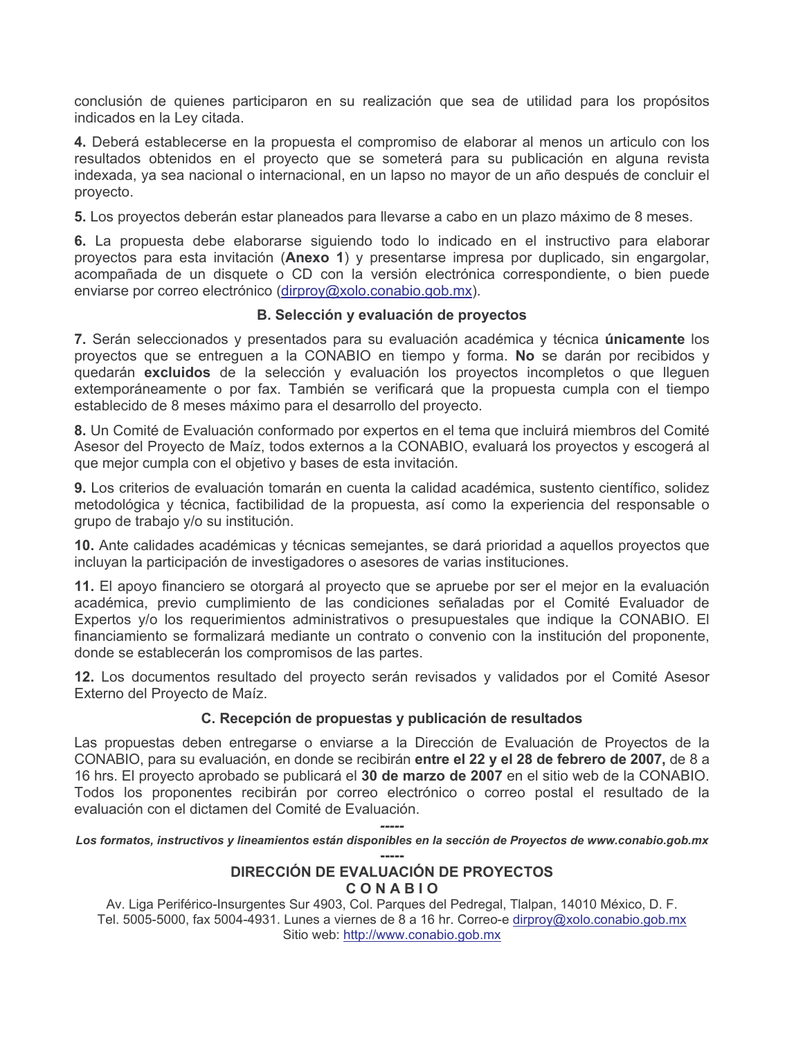conclusión de quienes participaron en su realización que sea de utilidad para los propósitos indicados en la Lev citada.

4. Deberá establecerse en la propuesta el compromiso de elaborar al menos un articulo con los resultados obtenidos en el proyecto que se someterá para su publicación en alguna revista indexada, va sea nacional o internacional, en un lapso no mayor de un año después de concluir el provecto.

5. Los proyectos deberán estar planeados para llevarse a cabo en un plazo máximo de 8 meses.

6. La propuesta debe elaborarse siguiendo todo lo indicado en el instructivo para elaborar proyectos para esta invitación (Anexo 1) y presentarse impresa por duplicado, sin engargolar, acompañada de un disquete o CD con la versión electrónica correspondiente, o bien puede enviarse por correo electrónico (dirproy@xolo.conabio.gob.mx).

#### B. Selección y evaluación de proyectos

7. Serán seleccionados y presentados para su evaluación académica y técnica únicamente los proyectos que se entrequen a la CONABIO en tiempo y forma. No se darán por recibidos y quedarán excluidos de la selección y evaluación los proyectos incompletos o que llequen extemporáneamente o por fax. También se verificará que la propuesta cumpla con el tiempo establecido de 8 meses máximo para el desarrollo del proyecto.

8. Un Comité de Evaluación conformado por expertos en el tema que incluirá miembros del Comité Asesor del Proyecto de Maíz, todos externos a la CONABIO, evaluará los proyectos y escogerá al que mejor cumpla con el objetivo y bases de esta invitación.

9. Los criterios de evaluación tomarán en cuenta la calidad académica, sustento científico, solidez metodológica y técnica, factibilidad de la propuesta, así como la experiencia del responsable o grupo de trabajo y/o su institución.

10. Ante calidades académicas y técnicas semejantes, se dará prioridad a aquellos proyectos que incluyan la participación de investigadores o asesores de varias instituciones.

11. El apoyo financiero se otorgará al proyecto que se apruebe por ser el mejor en la evaluación académica, previo cumplimiento de las condiciones señaladas por el Comité Evaluador de Expertos y/o los requerimientos administrativos o presupuestales que indique la CONABIO. El financiamiento se formalizará mediante un contrato o convenio con la institución del proponente, donde se establecerán los compromisos de las partes.

12. Los documentos resultado del proyecto serán revisados y validados por el Comité Asesor Externo del Proyecto de Maíz.

## C. Recepción de propuestas y publicación de resultados

Las propuestas deben entregarse o enviarse a la Dirección de Evaluación de Proyectos de la CONABIO, para su evaluación, en donde se recibirán entre el 22 y el 28 de febrero de 2007, de 8 a 16 hrs. El proyecto aprobado se publicará el 30 de marzo de 2007 en el sitio web de la CONABIO. Todos los proponentes recibirán por correo electrónico o correo postal el resultado de la evaluación con el dictamen del Comité de Evaluación.

Los formatos, instructivos y lineamientos están disponibles en la sección de Proyectos de www.conabio.gob.mx

# DIRECCIÓN DE EVALUACIÓN DE PROYECTOS CONABIO

Av. Liga Periférico-Insurgentes Sur 4903, Col. Parques del Pedregal, Tlalpan, 14010 México, D. F. Tel. 5005-5000, fax 5004-4931. Lunes a viernes de 8 a 16 hr. Correo-e dirproy@xolo.conabio.gob.mx Sitio web: http://www.conabio.gob.mx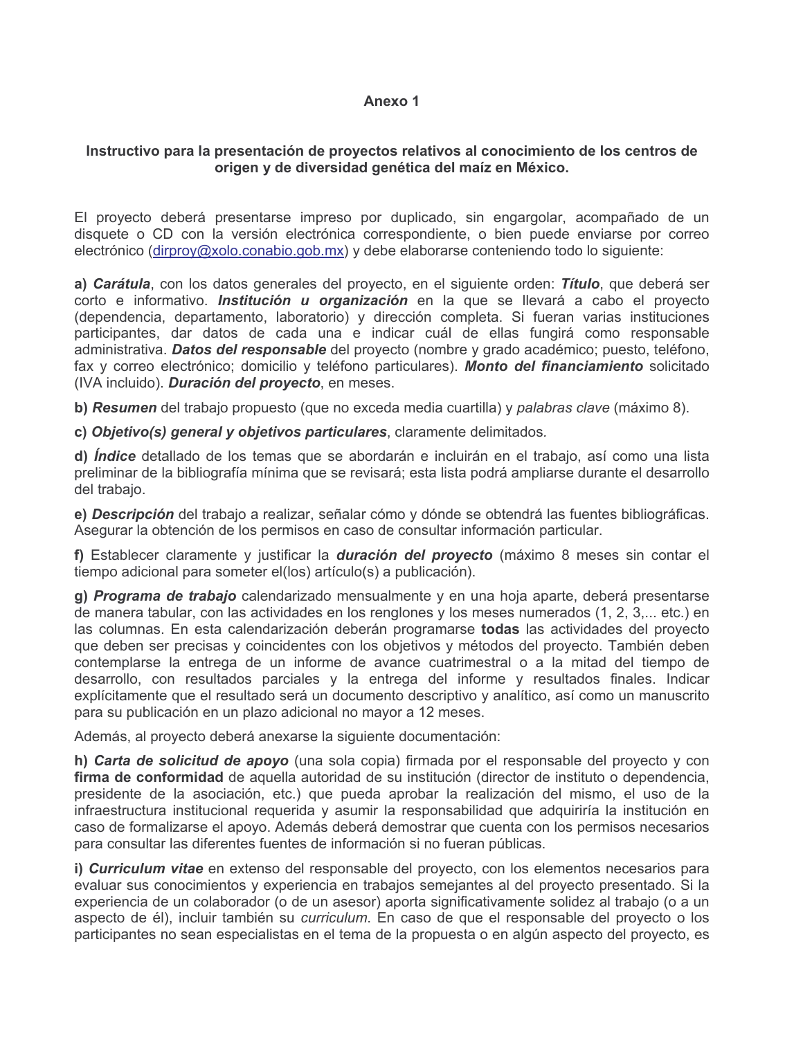#### Anexo 1

## Instructivo para la presentación de proyectos relativos al conocimiento de los centros de origen y de diversidad genética del maíz en México.

El proyecto deberá presentarse impreso por duplicado, sin engargolar, acompañado de un disquete o CD con la versión electrónica correspondiente, o bien puede enviarse por correo electrónico (dirproy@xolo.conabio.gob.mx) y debe elaborarse conteniendo todo lo siguiente:

a) Carátula, con los datos generales del proyecto, en el siguiente orden: Título, que deberá ser corto e informativo. *Institución u organización* en la que se llevará a cabo el proyecto (dependencia, departamento, laboratorio) y dirección completa. Si fueran varias instituciones participantes, dar datos de cada una e indicar cuál de ellas fungirá como responsable administrativa. **Datos del responsable** del proyecto (nombre y grado académico; puesto, teléfono, fax y correo electrónico; domicilio y teléfono particulares). Monto del financiamiento solicitado (IVA incluido). Duración del proyecto, en meses.

b) Resumen del trabajo propuesto (que no exceda media cuartilla) y palabras clave (máximo 8).

c) Objetivo(s) general y objetivos particulares, claramente delimitados.

d) *Índice* detallado de los temas que se abordarán e incluirán en el trabaio, así como una lista preliminar de la bibliografía mínima que se revisará; esta lista podrá ampliarse durante el desarrollo del trabajo.

e) Descripción del trabajo a realizar, señalar cómo y dónde se obtendrá las fuentes bibliográficas. Asegurar la obtención de los permisos en caso de consultar información particular.

f) Establecer claramente y justificar la duración del proyecto (máximo 8 meses sin contar el tiempo adicional para someter el(los) artículo(s) a publicación).

g) Programa de trabajo calendarizado mensualmente y en una hoja aparte, deberá presentarse de manera tabular, con las actividades en los renglones y los meses numerados (1, 2, 3,... etc.) en las columnas. En esta calendarización deberán programarse todas las actividades del proyecto que deben ser precisas y coincidentes con los objetivos y métodos del proyecto. También deben contemplarse la entrega de un informe de avance cuatrimestral o a la mitad del tiempo de desarrollo, con resultados parciales y la entrega del informe y resultados finales. Indicar explícitamente que el resultado será un documento descriptivo y analítico, así como un manuscrito para su publicación en un plazo adicional no mayor a 12 meses.

Además, al proyecto deberá anexarse la siguiente documentación:

h) Carta de solicitud de apoyo (una sola copia) firmada por el responsable del proyecto y con firma de conformidad de aquella autoridad de su institución (director de instituto o dependencia, presidente de la asociación, etc.) que pueda aprobar la realización del mismo, el uso de la infraestructura institucional requerida y asumir la responsabilidad que adquiriría la institución en caso de formalizarse el apoyo. Además deberá demostrar que cuenta con los permisos necesarios para consultar las diferentes fuentes de información si no fueran públicas.

i) Curriculum vitae en extenso del responsable del proyecto, con los elementos necesarios para evaluar sus conocimientos y experiencia en trabajos semejantes al del proyecto presentado. Si la experiencia de un colaborador (o de un asesor) aporta significativamente solidez al trabajo (o a un aspecto de él), incluir también su *curriculum*. En caso de que el responsable del proyecto o los participantes no sean especialistas en el tema de la propuesta o en algún aspecto del proyecto, es